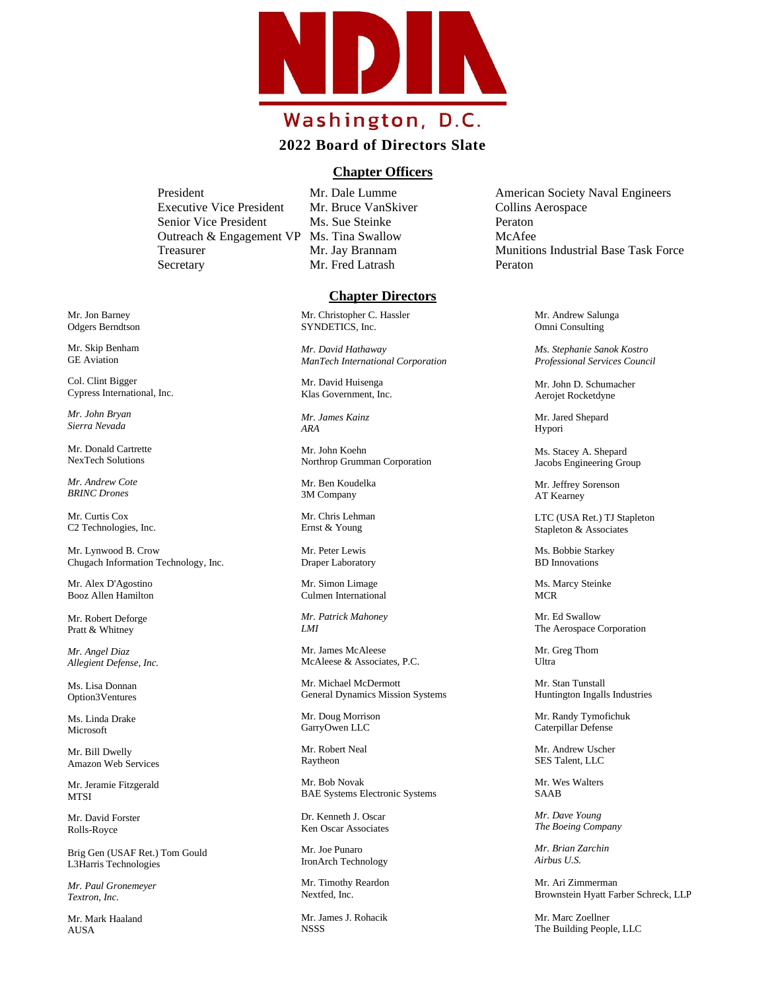

## **2022 Board of Directors Slate**

## **Chapter Officers**

Executive Vice President Mr. Bruce VanSkiver Collins Aerospace Senior Vice President Ms. Sue Steinke Peraton Outreach & Engagement VP Ms. Tina Swallow McAfee Secretary Mr. Fred Latrash Peraton

## **Chapter Directors**

Mr. Christopher C. Hassler SYNDETICS, Inc.

*Mr. David Hathaway ManTech International Corporation*

Mr. David Huisenga Klas Government, Inc.

*Mr. James Kainz ARA*

Mr. John Koehn Northrop Grumman Corporation

Mr. Ben Koudelka 3M Company

Mr. Chris Lehman Ernst & Young

Mr. Peter Lewis Draper Laboratory

Mr. Simon Limage Culmen International

*Mr. Patrick Mahoney LMI*

Mr. James McAleese McAleese & Associates, P.C.

Mr. Michael McDermott General Dynamics Mission Systems

Mr. Doug Morrison GarryOwen LLC

Mr. Robert Neal Raytheon

Mr. Bob Novak BAE Systems Electronic Systems

Dr. Kenneth J. Oscar Ken Oscar Associates

Mr. Joe Punaro IronArch Technology

Mr. Timothy Reardon Nextfed, Inc.

Mr. James J. Rohacik NSSS

President Mr. Dale Lumme American Society Naval Engineers Treasurer The Mr. Jay Brannam Munitions Industrial Base Task Force

> Mr. Andrew Salunga Omni Consulting

*Ms. Stephanie Sanok Kostro Professional Services Council*

Mr. John D. Schumacher Aerojet Rocketdyne

Mr. Jared Shepard Hypori

Ms. Stacey A. Shepard Jacobs Engineering Group

Mr. Jeffrey Sorenson AT Kearney

LTC (USA Ret.) TJ Stapleton Stapleton & Associates

Ms. Bobbie Starkey BD Innovations

Ms. Marcy Steinke **MCR** 

Mr. Ed Swallow The Aerospace Corporation

Mr. Greg Thom Ultra

Mr. Stan Tunstall Huntington Ingalls Industries

Mr. Randy Tymofichuk Caterpillar Defense

Mr. Andrew Uscher SES Talent, LLC

Mr. Wes Walters SAAB

*Mr. Dave Young The Boeing Company*

*Mr. Brian Zarchin Airbus U.S.* 

Mr. Ari Zimmerman Brownstein Hyatt Farber Schreck, LLP

Mr. Marc Zoellner The Building People, LLC

Mr. Jon Barney Odgers Berndtson

Mr. Skip Benham GE Aviation

Col. Clint Bigger Cypress International, Inc.

*Mr. John Bryan Sierra Nevada* 

Mr. Donald Cartrette NexTech Solutions

*Mr. Andrew Cote BRINC Drones* 

Mr. Curtis Cox C2 Technologies, Inc.

Mr. Lynwood B. Crow Chugach Information Technology, Inc.

Mr. Alex D'Agostino Booz Allen Hamilton

Mr. Robert Deforge Pratt & Whitney

*Mr. Angel Diaz Allegient Defense, Inc.* 

Ms. Lisa Donnan Option3Ventures

Ms. Linda Drake Microsoft

Mr. Bill Dwelly Amazon Web Services

Mr. Jeramie Fitzgerald **MTSI** 

Mr. David Forster Rolls-Royce

Brig Gen (USAF Ret.) Tom Gould L3Harris Technologies

*Mr. Paul Gronemeyer Textron, Inc.*

Mr. Mark Haaland AUSA